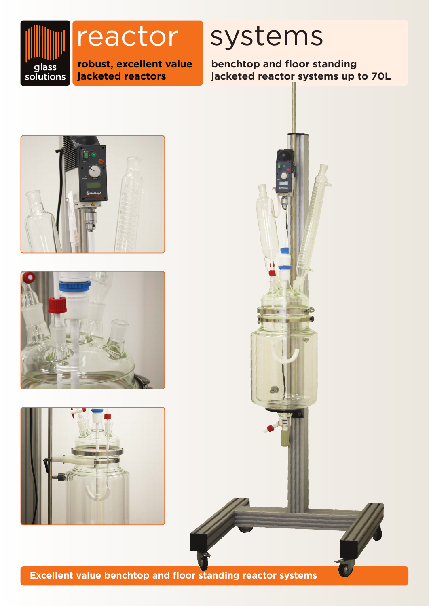

reactor

**robust, excellent value jacketed reactors**

# systems

**benchtop and floor standing jacketed reactor systems up to 70L**









**Excellent value benchtop and floor standing reactor systems**